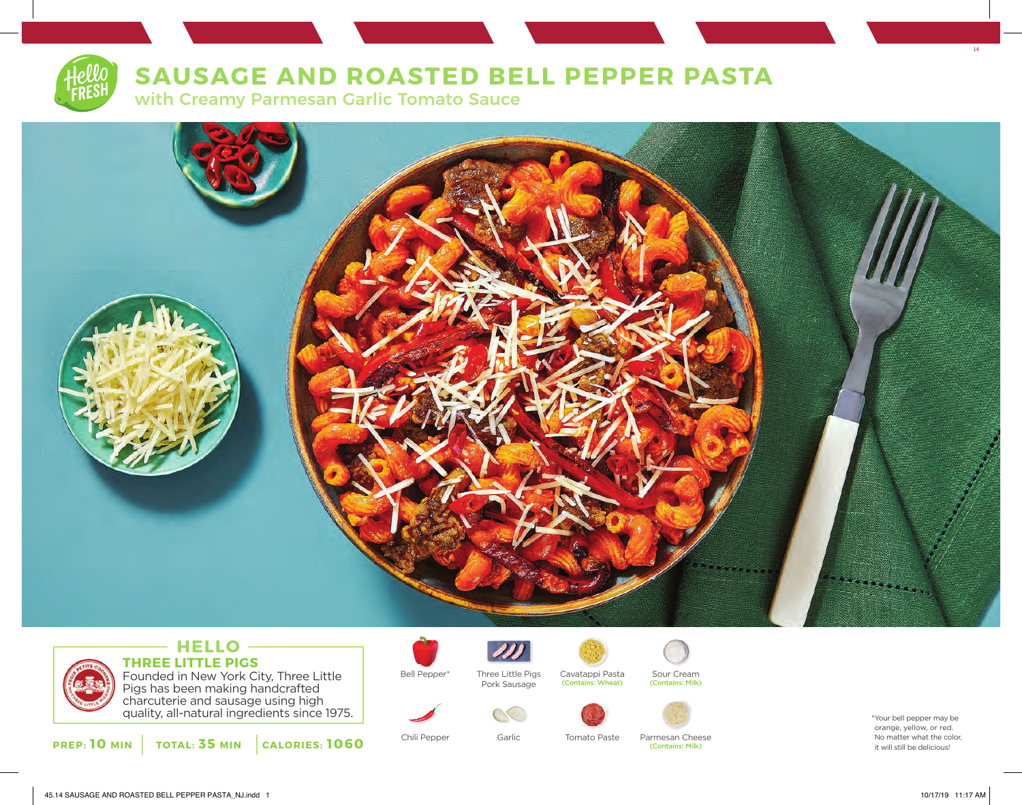# **SAUSAGE AND ROASTED BELL PEPPER PASTA**

with Creamy Parmesan Garlic Tomato Sauce



### **HELLO THREE LITTLE PIGS** Founded in New York City, Three Little Pigs has been making handcrafted

charcuterie and sausage using high quality, all-natural ingredients since 1975.

**PREP: 10 MIN TOTAL: 35 MIN CALORIES: 1060**



Bell Pepper\* Three Little Pigs Cavatappi Pasta Sour Cream Three Little Pigs Pork Sausage



(Contains: Milk) (Contains: Wheat)

Tomato Paste





Chili Pepper Garlic Tomato Paste Parmesan Cheese (Contains: Milk)

orange, yellow, or red. No matter what the color, it will still be delicious!

14